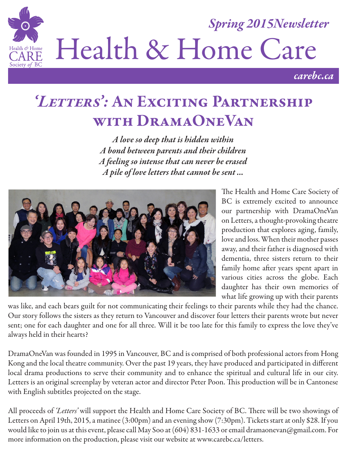

*Spring 2015Newsletter* 

*carebc.ca*

# *'Letters':* An Exciting Partnership with DramaOneVan

*A love so deep that is hidden within A bond between parents and their children A feeling so intense that can never be erased A pile of love letters that cannot be sent …*



ealth & Home<br> $\hat{\phantom{a}}$  A R F

The Health and Home Care Society of BC is extremely excited to announce our partnership with DramaOneVan on Letters, a thought-provoking theatre production that explores aging, family, love and loss. When their mother passes away, and their father is diagnosed with dementia, three sisters return to their family home after years spent apart in various cities across the globe. Each daughter has their own memories of what life growing up with their parents

was like, and each bears guilt for not communicating their feelings to their parents while they had the chance. Our story follows the sisters as they return to Vancouver and discover four letters their parents wrote but never sent; one for each daughter and one for all three. Will it be too late for this family to express the love they've always held in their hearts?

DramaOneVan was founded in 1995 in Vancouver, BC and is comprised of both professional actors from Hong Kong and the local theatre community. Over the past 19 years, they have produced and participated in different local drama productions to serve their community and to enhance the spiritual and cultural life in our city. Letters is an original screenplay by veteran actor and director Peter Poon. This production will be in Cantonese with English subtitles projected on the stage.

All proceeds of *'Letters'* will support the Health and Home Care Society of BC. There will be two showings of Letters on April 19th, 2015, a matinee (3:00pm) and an evening show (7:30pm). Tickets start at only \$28. If you would like to join us at this event, please call May Soo at (604) 831-1633 or email dramaonevan@gmail.com. For more information on the production, please visit our website at www.carebc.ca/letters.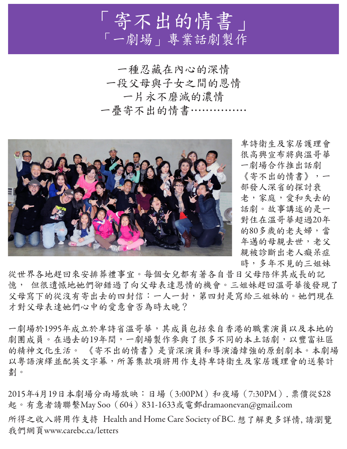

一種忍藏在內心的深情 一段父母與子女之間的恩情 一片永不磨滅的濃情 一疊寄不出的情書……………



卑詩衛生及家居護理會 很高興宣布將與溫哥華 一劇場合作推出話劇 《寄不出的情書》,一 部發人深省的探討衰 老,家庭,愛和失去的 話劇。故事講述的是一 對住在溫哥華超過20年 的80多歲的老夫婦,當 年邁的母親去世,老父 親被診斷出老人癡呆症 時,多年不見的三姐妹

從世界各地趕回來安排葬禮事宜。每個女兒都有著各自昔日父母陪伴其成長的記 憶, 但很遺憾地她們卻錯過了向父母表達恩情的機會。三姐妹趕回溫哥華後發現了 父母寫下的從沒有寄出去的四封信:一人一封,第四封是寫給三姐妹的。她們現在 才對父母表達她們心中的愛意會否為時太晚?

一劇場於1995年成立於卑詩省溫哥華,其成員包括來自香港的職業演員以及本地的 劇團成員。在過去的19年間,一劇場製作參與了很多不同的本土話劇,以豐富社區 的精神文化生活。 《寄不出的情書》是資深演員和導演潘煒強的原創劇本。本劇場 以粵語演繹並配英文字幕,所籌集款項將用作支持卑詩衛生及家居護理會的送餐計 劃。

2015年4月19日本劇場分兩場放映:日場(3:00PM)和夜場(7:30PM).票價從\$28 起。有意者請聯繫May Soo(604)831-1633或電郵dramaonevan@gmail.com 所得之收入將用作支持 Health and Home Care Society of BC. 想了解更多詳情,請瀏覽 我們網頁www.carebc.ca/letters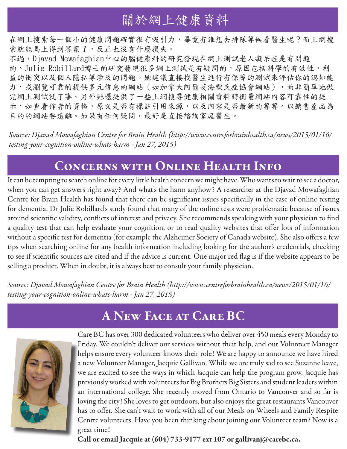# 關於網上健康資料

在網上搜索每一個小的健康問題確實很有吸引力,畢竟有誰想去排隊等候看醫生呢?而上網搜 索就能馬上得到答案了,反正也沒有什麼損失。

不過,Djavad Mowafaghian中心的腦健康科的研究發現在網上測試老人癡呆症是有問題 的。Julie Robillard博士的研究發現很多網上測試是有疑問的,原因包括科學的有效性,利 益的衝突以及個人隱私等涉及的問題。她建議直接找醫生進行有保障的測試來評估你的認知能 力,或瀏覽可靠的提供多元信息的網站(如加拿大阿爾茨海默氏症協會網站),而非簡單地做 完網上測試就了事。另外她還提供了一些上網搜尋健康相關資料時衡量網站內容可靠性的提 示,如查看作者的資格,原文是否有標註引用來源,以及內容是否最新的等等。以銷售產品為 目的的網站要遠離。如果有任何疑問,最好是直接諮詢家庭醫生。

*Source: Djavad Mowafaghian Centre for Brain Health (http://www.centreforbrainhealth.ca/news/2015/01/16/ testing-your-cognition-online-whats-harm - Jan 27, 2015)*

### Concerns with Online Health Info

It can be tempting to search online for every little health concern we might have. Who wants to wait to see a doctor, when you can get answers right away? And what's the harm anyhow? A researcher at the Djavad Mowafaghian Centre for Brain Health has found that there can be significant issues specifically in the case of online testing for dementia. Dr Julie Robillard's study found that many of the online tests were problematic because of issues around scientific validity, conflicts of interest and privacy. She recommends speaking with your physician to find a quality test that can help evaluate your cognition, or to read quality websites that offer lots of information without a specific test for dementia (for example the Alzheimer Society of Canada website). She also offers a few tips when searching online for any health information including looking for the author's credentials, checking to see if scientific sources are cited and if the advice is current. One major red flag is if the website appears to be selling a product. When in doubt, it is always best to consult your family physician.

*Source: Djavad Mowafaghian Centre for Brain Health (http://www.centreforbrainhealth.ca/news/2015/01/16/ testing-your-cognition-online-whats-harm - Jan 27, 2015)*

### A New Face at Care BC



Care BC has over 300 dedicated volunteers who deliver over 450 meals every Monday to Friday. We couldn't deliver our services without their help, and our Volunteer Manager helps ensure every volunteer knows their role! We are happy to announce we have hired a new Volunteer Manager, Jacquie Gallivan. While we are truly sad to see Suzanne leave, we are excited to see the ways in which Jacquie can help the program grow. Jacquie has previously worked with volunteers for Big Brothers Big Sisters and student leaders within an international college. She recently moved from Ontario to Vancouver and so far is loving the city! She loves to get outdoors, but also enjoys the great restaurants Vancouver has to offer. She can't wait to work with all of our Meals on Wheels and Family Respite Centre volunteers. Have you been thinking about joining our Volunteer team? Now is a great time!

Call or email Jacquie at (604) 733-9177 ext 107 or gallivanj@carebc.ca.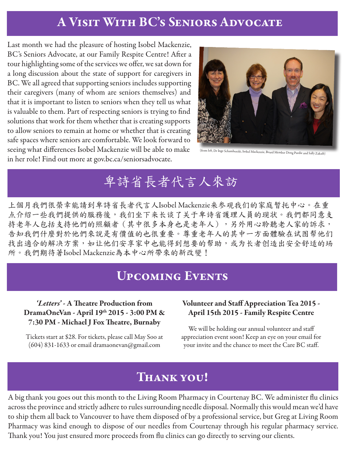### A Visit With BC's Seniors Advocate

Last month we had the pleasure of hosting Isobel Mackenzie, BC's Seniors Advocate, at our Family Respite Centre! After a tour highlighting some of the services we offer, we sat down for a long discussion about the state of support for caregivers in BC. We all agreed that supporting seniors includes supporting their caregivers (many of whom are seniors themselves) and that it is important to listen to seniors when they tell us what is valuable to them. Part of respecting seniors is trying to find solutions that work for them whether that is creating supports to allow seniors to remain at home or whether that is creating safe spaces where seniors are comfortable. We look forward to seeing what differences Isobel Mackenzie will be able to make in her role! Find out more at gov.bc.ca/seniorsadvocate.



(from left, Dr Inge Schamborzki, Isobel Mackenzie, Board Member Doug Purdie and Sally Zakaib)

# 卑詩省長者代言人來訪

上個月我們很榮幸能請到卑詩省長者代言人Isobel Mackenzie来参观我们的家庭暂托中心。在重 点介绍一些我們提供的服務後,我们坐下来长谈了关于卑诗省護理人員的现状。我們都同意支 持老年人包括支持他們的照顧者(其中很多本身也是老年人),另外用心聆聽老人家的訴求, 告知我們什麼對於他們來說是有價值的也很重要。尊重老年人的其中一方面體驗在试图帮他们 找出適合的解决方案,如让他们安享家中也能得到想要的帮助,或为长者创造出安全舒适的场 所。我們期待著Isobel Mackenzie為本中心所帶來的新改變!

### Upcoming Events

#### *'Letters'* - A Theatre Production from DramaOneVan - April 19th 2015 - 3:00 PM & 7:30 PM - Michael J Fox Theatre, Burnaby

Tickets start at \$28. For tickets, please call May Soo at (604) 831-1633 or email dramaonevan@gmail.com

#### Volunteer and Staff Appreciation Tea 2015 - April 15th 2015 - Family Respite Centre

We will be holding our annual volunteer and staff appreciation event soon! Keep an eye on your email for your invite and the chance to meet the Care BC staff.

### THANK YOU!

A big thank you goes out this month to the Living Room Pharmacy in Courtenay BC. We administer flu clinics across the province and strictly adhere to rules surrounding needle disposal. Normally this would mean we'd have to ship them all back to Vancouver to have them disposed of by a professional service, but Greg at Living Room Pharmacy was kind enough to dispose of our needles from Courtenay through his regular pharmacy service. Thank you! You just ensured more proceeds from flu clinics can go directly to serving our clients.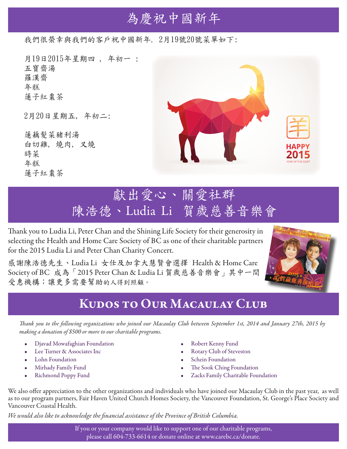### 為慶祝中國新年

我們很榮幸與我們的客戶祝中國新年. 2月19號20號菜單如下:

月19日2015年星期四 , 年初一 : 五寶齋湯 羅漢齋 年糕 蓮子紅棗茶 2月20日星期五, 年初二: 蓮藕髮菜豬利湯 白切雞, 燒肉, 叉燒 時菜

年糕 蓮子紅棗茶



# 獻出愛心、關愛社群 陳浩德、Ludia Li 賀歲慈善音樂會

Thank you to Ludia Li, Peter Chan and the Shining Life Society for their generosity in selecting the Health and Home Care Society of BC as one of their charitable partners for the 2015 Ludia Li and Peter Chan Charity Concert.

感謝陳浩德先生、Ludia Li 女仕及加拿大慧賢會選擇 Health & Home Care Society of BC 成為「2015 Peter Chan & Ludia Li 賀歲慈善音樂會」其中一間 受惠機構;讓更多需要幫助的人得到照顧。



### Kudos to Our Macaulay Club

*Thank you to the following organizations who joined our Macaulay Club between September 1st, 2014 and January 27th, 2015 by making a donation of \$500 or more to our charitable programs.*

- Djavad Mowafaghian Foundation
- Lee Turner & Associates Inc.
- Lohn Foundation
- Mirhady Family Fund
- Richmond Poppy Fund
- Robert Kenny Fund
- Rotary Club of Steveston
- Schein Foundation
- The Sook Ching Foundation
- Zacks Family Charitable Foundation

We also offer appreciation to the other organizations and individuals who have joined our Macaulay Club in the past year, as well as to our program partners, Fair Haven United Church Homes Society, the Vancouver Foundation, St. George's Place Society and Vancouver Coastal Health.

*We would also like to acknowledge the financial assistance of the Province of British Columbia.*

If you or your company would like to support one of our charitable programs, please call 604-733-6614 or donate online at www.carebc.ca/donate.